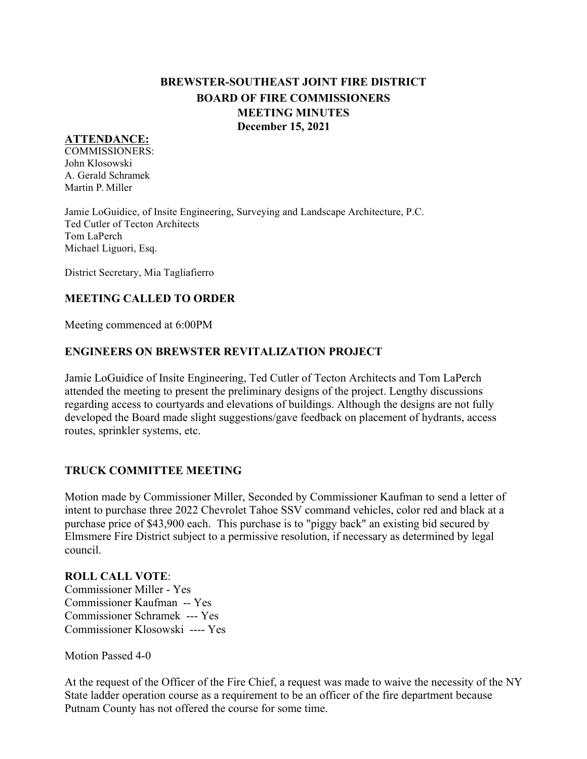# **BREWSTER-SOUTHEAST JOINT FIRE DISTRICT BOARD OF FIRE COMMISSIONERS MEETING MINUTES December 15, 2021**

#### **ATTENDANCE:**

COMMISSIONERS: John Klosowski A. Gerald Schramek Martin P. Miller

Jamie LoGuidice, of Insite Engineering, Surveying and Landscape Architecture, P.C. Ted Cutler of Tecton Architects Tom LaPerch Michael Liguori, Esq.

District Secretary, Mia Tagliafierro

# **MEETING CALLED TO ORDER**

Meeting commenced at 6:00PM

#### **ENGINEERS ON BREWSTER REVITALIZATION PROJECT**

Jamie LoGuidice of Insite Engineering, Ted Cutler of Tecton Architects and Tom LaPerch attended the meeting to present the preliminary designs of the project. Lengthy discussions regarding access to courtyards and elevations of buildings. Although the designs are not fully developed the Board made slight suggestions/gave feedback on placement of hydrants, access routes, sprinkler systems, etc.

## **TRUCK COMMITTEE MEETING**

Motion made by Commissioner Miller, Seconded by Commissioner Kaufman to send a letter of intent to purchase three 2022 Chevrolet Tahoe SSV command vehicles, color red and black at a purchase price of \$43,900 each. This purchase is to "piggy back" an existing bid secured by Elmsmere Fire District subject to a permissive resolution, if necessary as determined by legal council.

#### **ROLL CALL VOTE**:

Commissioner Miller - Yes Commissioner Kaufman -- Yes Commissioner Schramek --- Yes Commissioner Klosowski ---- Yes

Motion Passed 4-0

At the request of the Officer of the Fire Chief, a request was made to waive the necessity of the NY State ladder operation course as a requirement to be an officer of the fire department because Putnam County has not offered the course for some time.